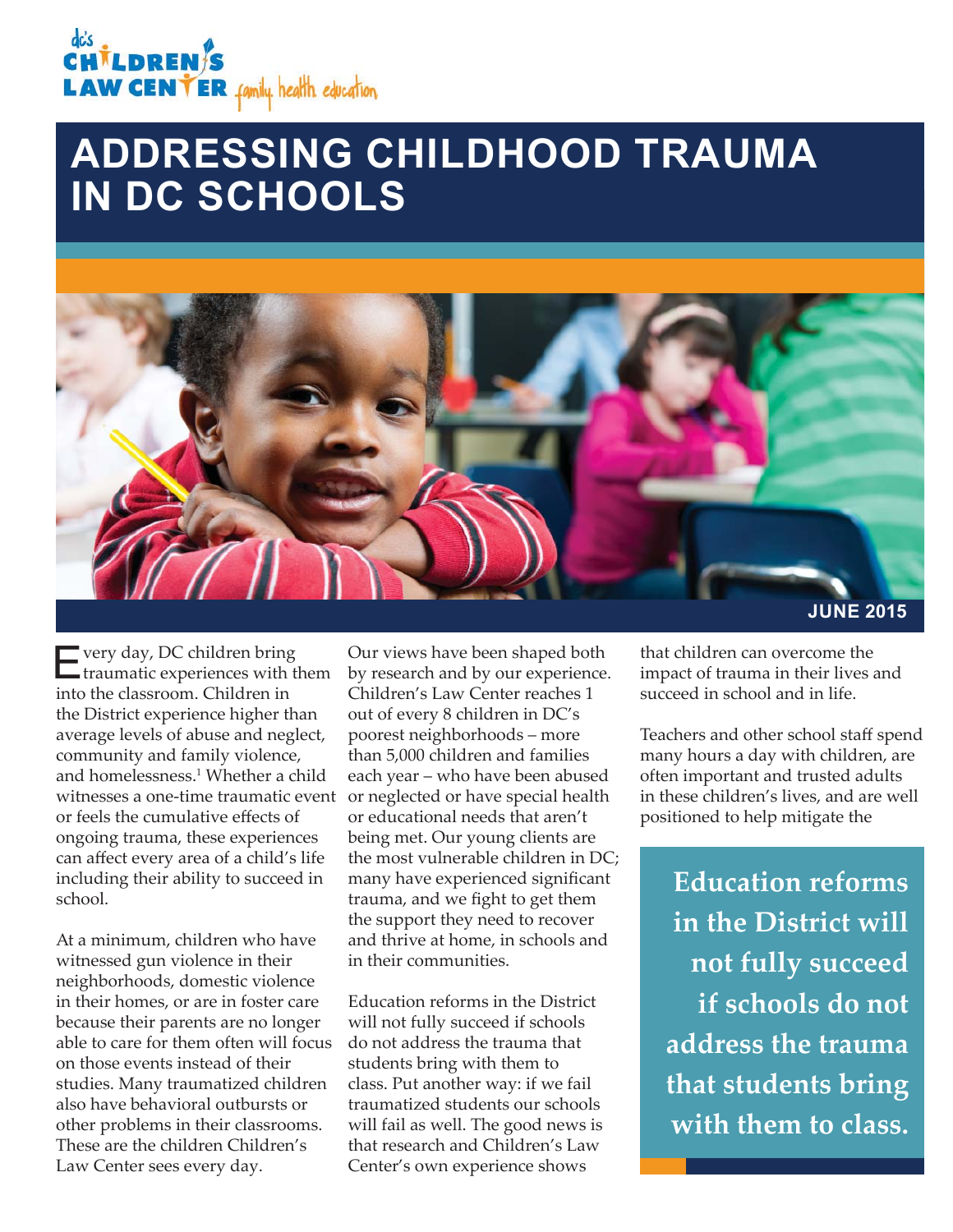## *İLDREN* **LAW CENTER** family. health. education.

# **ADDRESSING CHILDHOOD TRAUMA IN DC SCHOOLS**



Every day, DC children bring traumatic experiences with them into the classroom. Children in the District experience higher than average levels of abuse and neglect, community and family violence, and homelessness.1 Whether a child witnesses a one-time traumatic event or neglected or have special health or feels the cumulative effects of ongoing trauma, these experiences can affect every area of a child's life including their ability to succeed in school.

At a minimum, children who have witnessed gun violence in their neighborhoods, domestic violence in their homes, or are in foster care because their parents are no longer able to care for them often will focus on those events instead of their studies. Many traumatized children also have behavioral outbursts or other problems in their classrooms. These are the children Children's Law Center sees every day.

Our views have been shaped both by research and by our experience. Children's Law Center reaches 1 out of every 8 children in DC's poorest neighborhoods – more than 5,000 children and families each year – who have been abused or educational needs that aren't being met. Our young clients are the most vulnerable children in DC; many have experienced significant trauma, and we fight to get them the support they need to recover and thrive at home, in schools and in their communities.

Education reforms in the District will not fully succeed if schools do not address the trauma that students bring with them to class. Put another way: if we fail traumatized students our schools will fail as well. The good news is that research and Children's Law Center's own experience shows

**JUNE 2015**

that children can overcome the impact of trauma in their lives and succeed in school and in life.

Teachers and other school staff spend many hours a day with children, are often important and trusted adults in these children's lives, and are well positioned to help mitigate the

**Education reforms in the District will not fully succeed if schools do not address the trauma that students bring with them to class.**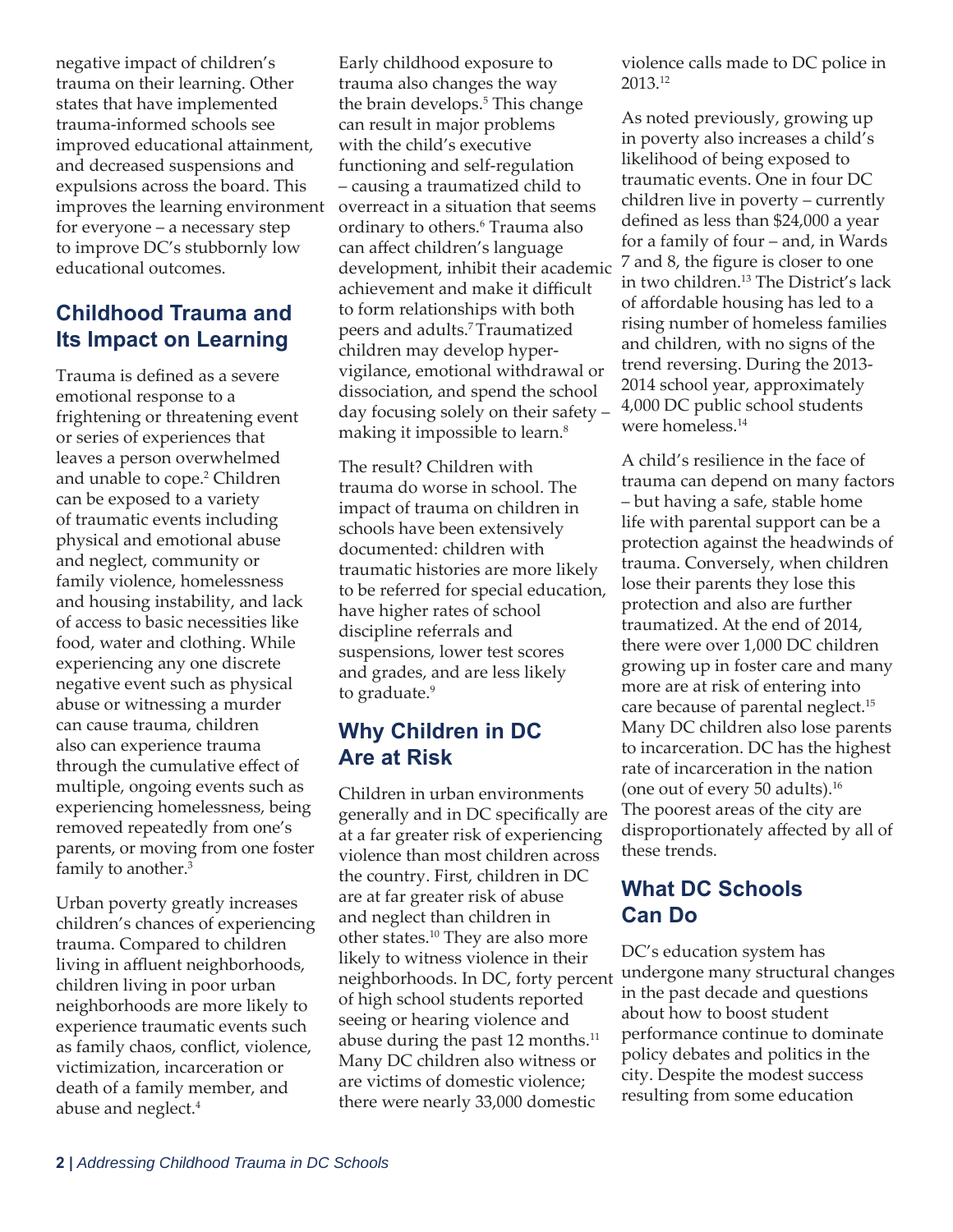negative impact of children's trauma on their learning. Other states that have implemented trauma-informed schools see improved educational attainment, and decreased suspensions and expulsions across the board. This improves the learning environment for everyone – a necessary step to improve DC's stubbornly low educational outcomes.

## **Childhood Trauma and Its Impact on Learning**

Trauma is defined as a severe emotional response to a frightening or threatening event or series of experiences that leaves a person overwhelmed and unable to cope.2 Children can be exposed to a variety of traumatic events including physical and emotional abuse and neglect, community or family violence, homelessness and housing instability, and lack of access to basic necessities like food, water and clothing. While experiencing any one discrete negative event such as physical abuse or witnessing a murder can cause trauma, children also can experience trauma through the cumulative effect of multiple, ongoing events such as experiencing homelessness, being removed repeatedly from one's parents, or moving from one foster family to another.<sup>3</sup>

Urban poverty greatly increases children's chances of experiencing trauma. Compared to children living in affluent neighborhoods, children living in poor urban neighborhoods are more likely to experience traumatic events such as family chaos, conflict, violence, victimization, incarceration or death of a family member, and abuse and neglect.4

Early childhood exposure to trauma also changes the way the brain develops.5 This change can result in major problems with the child's executive functioning and self-regulation – causing a traumatized child to overreact in a situation that seems ordinary to others.6 Trauma also can affect children's language development, inhibit their academic achievement and make it difficult to form relationships with both peers and adults.7 Traumatized children may develop hypervigilance, emotional withdrawal or dissociation, and spend the school day focusing solely on their safety – making it impossible to learn.<sup>8</sup>

The result? Children with trauma do worse in school. The impact of trauma on children in schools have been extensively documented: children with traumatic histories are more likely to be referred for special education, have higher rates of school discipline referrals and suspensions, lower test scores and grades, and are less likely to graduate.<sup>9</sup>

## **Why Children in DC Are at Risk**

Children in urban environments generally and in DC specifically are at a far greater risk of experiencing violence than most children across the country. First, children in DC are at far greater risk of abuse and neglect than children in other states.10 They are also more likely to witness violence in their neighborhoods. In DC, forty percent of high school students reported seeing or hearing violence and abuse during the past 12 months.<sup>11</sup> Many DC children also witness or are victims of domestic violence; there were nearly 33,000 domestic

violence calls made to DC police in 2013.12

As noted previously, growing up in poverty also increases a child's likelihood of being exposed to traumatic events. One in four DC children live in poverty – currently defined as less than \$24,000 a year for a family of four – and, in Wards 7 and 8, the figure is closer to one in two children.13 The District's lack of affordable housing has led to a rising number of homeless families and children, with no signs of the trend reversing. During the 2013- 2014 school year, approximately 4,000 DC public school students were homeless.<sup>14</sup>

A child's resilience in the face of trauma can depend on many factors – but having a safe, stable home life with parental support can be a protection against the headwinds of trauma. Conversely, when children lose their parents they lose this protection and also are further traumatized. At the end of 2014, there were over 1,000 DC children growing up in foster care and many more are at risk of entering into care because of parental neglect.<sup>15</sup> Many DC children also lose parents to incarceration. DC has the highest rate of incarceration in the nation (one out of every 50 adults).16 The poorest areas of the city are disproportionately affected by all of these trends.

### **What DC Schools Can Do**

DC's education system has undergone many structural changes in the past decade and questions about how to boost student performance continue to dominate policy debates and politics in the city. Despite the modest success resulting from some education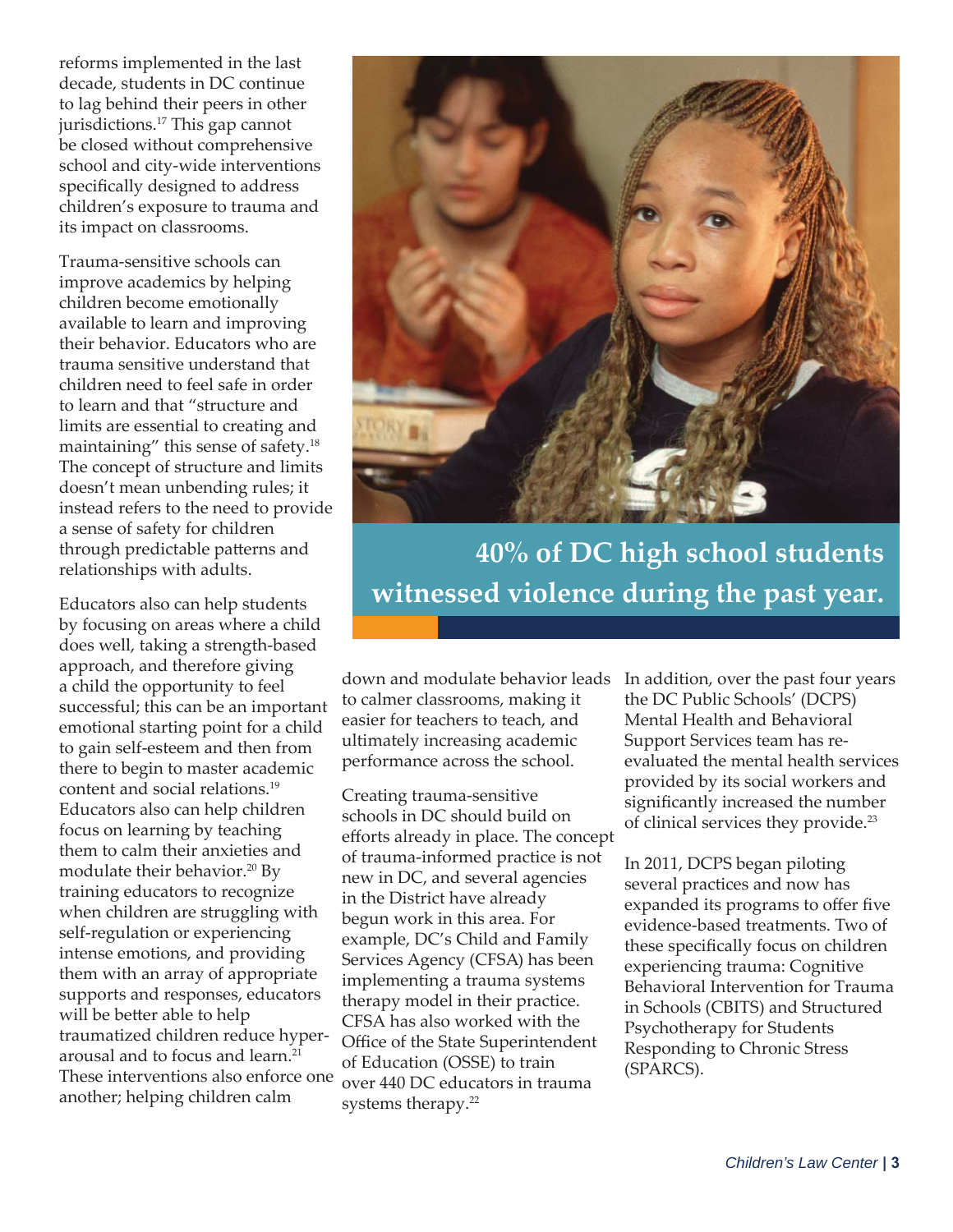reforms implemented in the last decade, students in DC continue to lag behind their peers in other jurisdictions.17 This gap cannot be closed without comprehensive school and city-wide interventions specifically designed to address children's exposure to trauma and its impact on classrooms.

Trauma-sensitive schools can improve academics by helping children become emotionally available to learn and improving their behavior. Educators who are trauma sensitive understand that children need to feel safe in order to learn and that "structure and limits are essential to creating and maintaining" this sense of safety.18 The concept of structure and limits doesn't mean unbending rules; it instead refers to the need to provide a sense of safety for children through predictable patterns and relationships with adults.

Educators also can help students by focusing on areas where a child does well, taking a strength-based approach, and therefore giving a child the opportunity to feel successful; this can be an important emotional starting point for a child to gain self-esteem and then from there to begin to master academic content and social relations.19 Educators also can help children focus on learning by teaching them to calm their anxieties and modulate their behavior.<sup>20</sup> By training educators to recognize when children are struggling with self-regulation or experiencing intense emotions, and providing them with an array of appropriate supports and responses, educators will be better able to help traumatized children reduce hyperarousal and to focus and learn.21 These interventions also enforce one another; helping children calm



**40% of DC high school students witnessed violence during the past year.**

to calmer classrooms, making it easier for teachers to teach, and ultimately increasing academic performance across the school.

Creating trauma-sensitive schools in DC should build on efforts already in place. The concept of trauma-informed practice is not new in DC, and several agencies in the District have already begun work in this area. For example, DC's Child and Family Services Agency (CFSA) has been implementing a trauma systems therapy model in their practice. CFSA has also worked with the Office of the State Superintendent of Education (OSSE) to train over 440 DC educators in trauma systems therapy.22

down and modulate behavior leads In addition, over the past four years the DC Public Schools' (DCPS) Mental Health and Behavioral Support Services team has reevaluated the mental health services provided by its social workers and significantly increased the number of clinical services they provide.<sup>23</sup>

> In 2011, DCPS began piloting several practices and now has expanded its programs to offer five evidence-based treatments. Two of these specifically focus on children experiencing trauma: Cognitive Behavioral Intervention for Trauma in Schools (CBITS) and Structured Psychotherapy for Students Responding to Chronic Stress (SPARCS).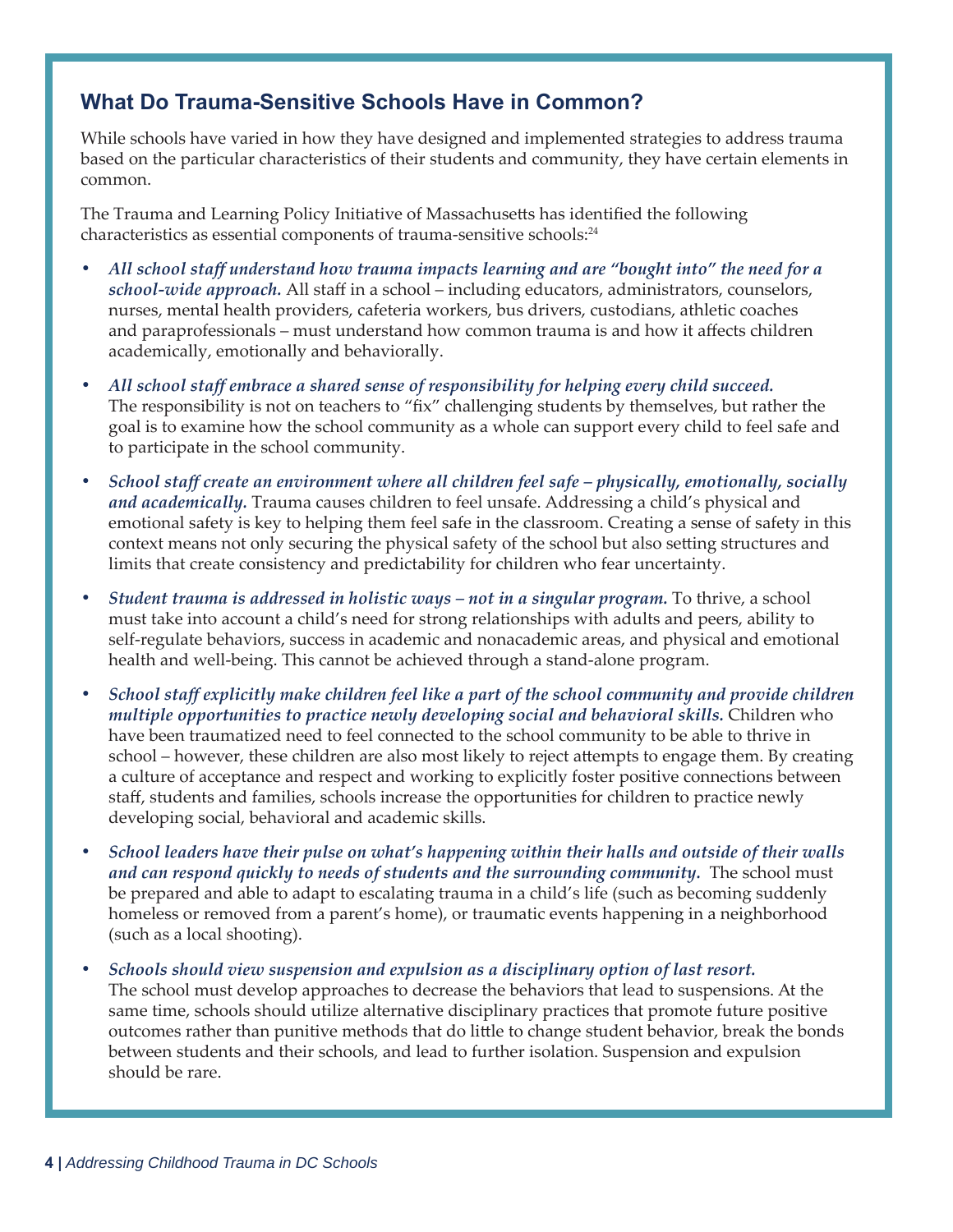## **What Do Trauma-Sensitive Schools Have in Common?**

While schools have varied in how they have designed and implemented strategies to address trauma based on the particular characteristics of their students and community, they have certain elements in common.

The Trauma and Learning Policy Initiative of Massachusetts has identified the following characteristics as essential components of trauma-sensitive schools:<sup>24</sup>

- *All school staff understand how trauma impacts learning and are "bought into" the need for a school-wide approach.* All staff in a school – including educators, administrators, counselors, nurses, mental health providers, cafeteria workers, bus drivers, custodians, athletic coaches and paraprofessionals – must understand how common trauma is and how it affects children academically, emotionally and behaviorally.
- *All school staff embrace a shared sense of responsibility for helping every child succeed.*  The responsibility is not on teachers to "fix" challenging students by themselves, but rather the goal is to examine how the school community as a whole can support every child to feel safe and to participate in the school community.
- *School staff create an environment where all children feel safe physically, emotionally, socially and academically.* Trauma causes children to feel unsafe. Addressing a child's physical and emotional safety is key to helping them feel safe in the classroom. Creating a sense of safety in this context means not only securing the physical safety of the school but also setting structures and limits that create consistency and predictability for children who fear uncertainty.
- *Student trauma is addressed in holistic ways not in a singular program.* To thrive, a school must take into account a child's need for strong relationships with adults and peers, ability to self-regulate behaviors, success in academic and nonacademic areas, and physical and emotional health and well-being. This cannot be achieved through a stand-alone program.
- *School staff explicitly make children feel like a part of the school community and provide children multiple opportunities to practice newly developing social and behavioral skills.* Children who have been traumatized need to feel connected to the school community to be able to thrive in school – however, these children are also most likely to reject attempts to engage them. By creating a culture of acceptance and respect and working to explicitly foster positive connections between staff, students and families, schools increase the opportunities for children to practice newly developing social, behavioral and academic skills.
- *School leaders have their pulse on what's happening within their halls and outside of their walls*  and can respond quickly to needs of students and the surrounding community. The school must be prepared and able to adapt to escalating trauma in a child's life (such as becoming suddenly homeless or removed from a parent's home), or traumatic events happening in a neighborhood (such as a local shooting).
- *Schools should view suspension and expulsion as a disciplinary option of last resort.* The school must develop approaches to decrease the behaviors that lead to suspensions. At the same time, schools should utilize alternative disciplinary practices that promote future positive outcomes rather than punitive methods that do little to change student behavior, break the bonds between students and their schools, and lead to further isolation. Suspension and expulsion should be rare.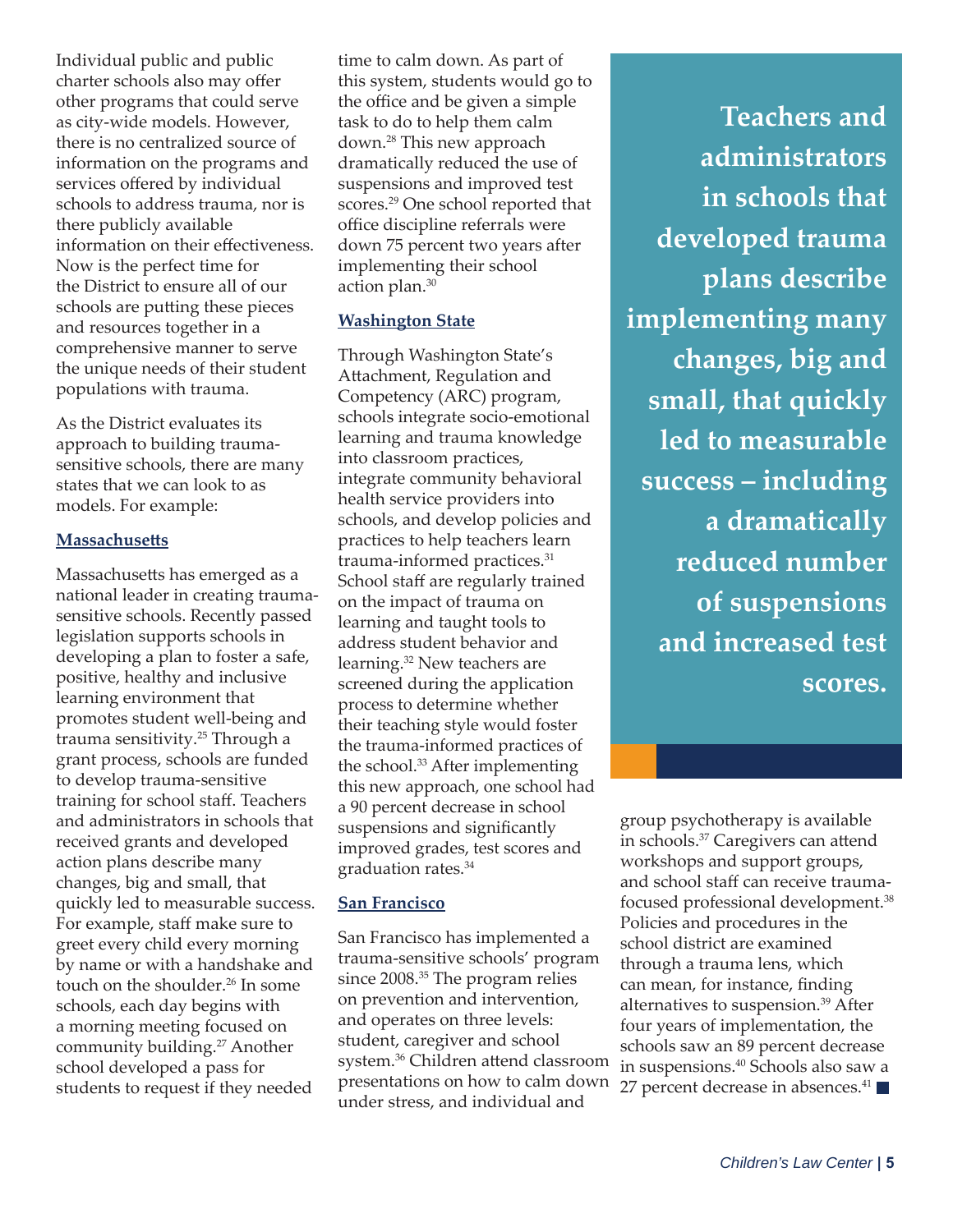Individual public and public charter schools also may offer other programs that could serve as city-wide models. However, there is no centralized source of information on the programs and services offered by individual schools to address trauma, nor is there publicly available information on their effectiveness. Now is the perfect time for the District to ensure all of our schools are putting these pieces and resources together in a comprehensive manner to serve the unique needs of their student populations with trauma.

As the District evaluates its approach to building traumasensitive schools, there are many states that we can look to as models. For example:

#### **Massachusett s**

Massachusetts has emerged as a national leader in creating traumasensitive schools. Recently passed legislation supports schools in developing a plan to foster a safe, positive, healthy and inclusive learning environment that promotes student well-being and trauma sensitivity.25 Through a grant process, schools are funded to develop trauma-sensitive training for school staff. Teachers and administrators in schools that received grants and developed action plans describe many changes, big and small, that quickly led to measurable success. For example, staff make sure to greet every child every morning by name or with a handshake and touch on the shoulder.<sup>26</sup> In some schools, each day begins with a morning meeting focused on community building.<sup>27</sup> Another school developed a pass for students to request if they needed

time to calm down. As part of this system, students would go to the office and be given a simple task to do to help them calm down.28 This new approach dramatically reduced the use of suspensions and improved test scores.29 One school reported that office discipline referrals were down 75 percent two years after implementing their school action plan.30

#### **Washington State**

Through Washington State's Attachment, Regulation and Competency (ARC) program, schools integrate socio-emotional learning and trauma knowledge into classroom practices, integrate community behavioral health service providers into schools, and develop policies and practices to help teachers learn trauma-informed practices.31 School staff are regularly trained on the impact of trauma on learning and taught tools to address student behavior and learning.32 New teachers are screened during the application process to determine whether their teaching style would foster the trauma-informed practices of the school.<sup>33</sup> After implementing this new approach, one school had a 90 percent decrease in school suspensions and significantly improved grades, test scores and graduation rates.34

#### **San Francisco**

San Francisco has implemented a trauma-sensitive schools' program since 2008.35 The program relies on prevention and intervention, and operates on three levels: student, caregiver and school system.<sup>36</sup> Children attend classroom presentations on how to calm down under stress, and individual and

**Teachers and administrators in schools that developed trauma plans describe implementing many changes, big and small, that quickly led to measurable success – including a dramatically reduced number of suspensions and increased test scores.**

group psychotherapy is available in schools.<sup>37</sup> Caregivers can attend workshops and support groups, and school staff can receive traumafocused professional development.38 Policies and procedures in the school district are examined through a trauma lens, which can mean, for instance, finding alternatives to suspension.39 After four years of implementation, the schools saw an 89 percent decrease in suspensions.40 Schools also saw a 27 percent decrease in absences. $41$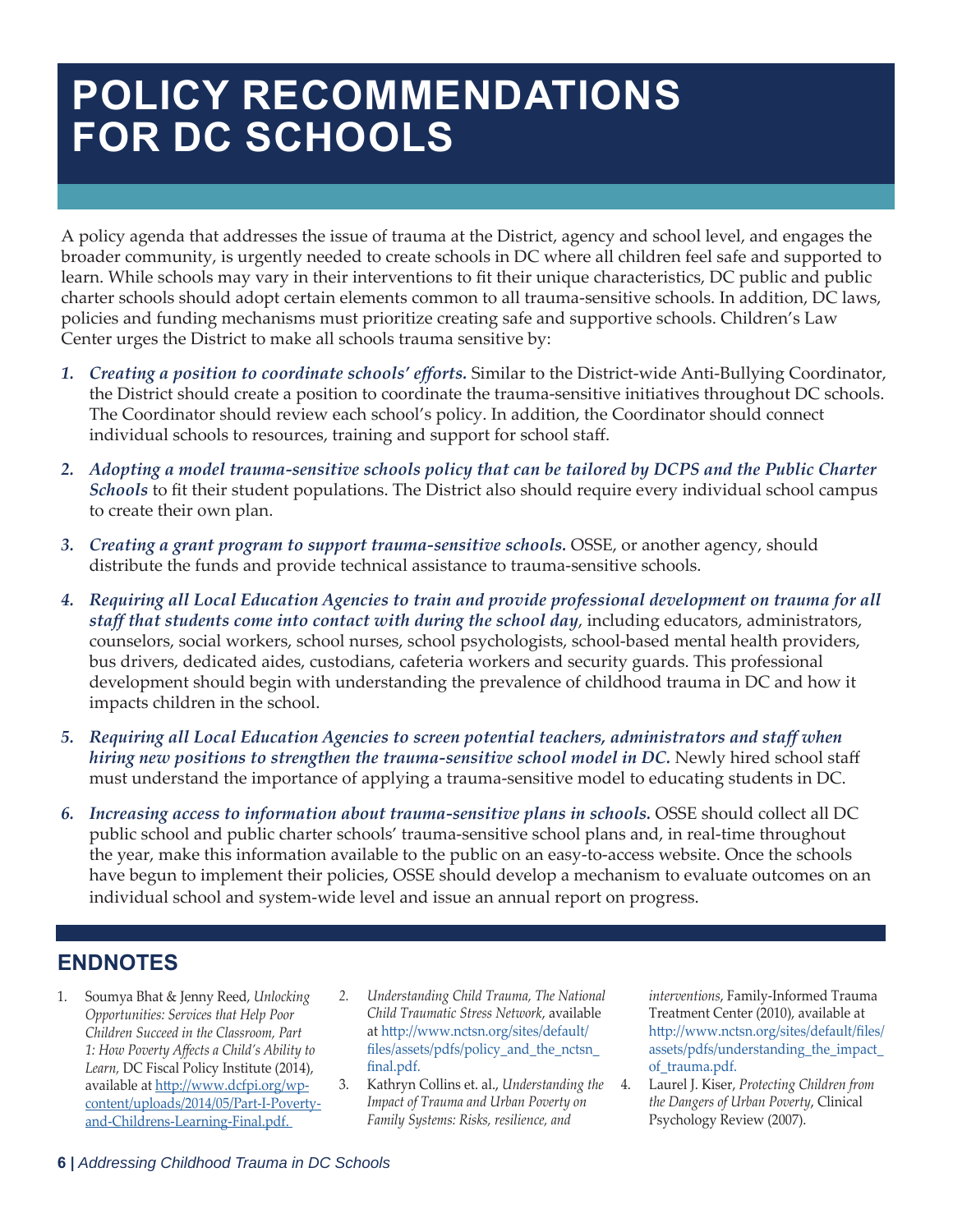# **POLICY RECOMMENDATIONS FOR DC SCHOOLS**

A policy agenda that addresses the issue of trauma at the District, agency and school level, and engages the broader community, is urgently needed to create schools in DC where all children feel safe and supported to learn. While schools may vary in their interventions to fit their unique characteristics, DC public and public charter schools should adopt certain elements common to all trauma-sensitive schools. In addition, DC laws, policies and funding mechanisms must prioritize creating safe and supportive schools. Children's Law Center urges the District to make all schools trauma sensitive by:

- *1. Creating a position to coordinate schools' eff orts.* Similar to the District-wide Anti-Bullying Coordinator, the District should create a position to coordinate the trauma-sensitive initiatives throughout DC schools. The Coordinator should review each school's policy. In addition, the Coordinator should connect individual schools to resources, training and support for school staff.
- *2. Adopting a model trauma-sensitive schools policy that can be tailored by DCPS and the Public Charter Schools* to fit their student populations. The District also should require every individual school campus to create their own plan.
- *3. Creating a grant program to support trauma-sensitive schools.* OSSE, or another agency, should distribute the funds and provide technical assistance to trauma-sensitive schools.
- *4. Requiring all Local Education Agencies to train and provide professional development on trauma for all staff that students come into contact with during the school day*, including educators, administrators, counselors, social workers, school nurses, school psychologists, school-based mental health providers, bus drivers, dedicated aides, custodians, cafeteria workers and security guards. This professional development should begin with understanding the prevalence of childhood trauma in DC and how it impacts children in the school.
- *5. Requiring all Local Education Agencies to screen potential teachers, administrators and staff when hiring new positions to strengthen the trauma-sensitive school model in DC.* Newly hired school staff must understand the importance of applying a trauma-sensitive model to educating students in DC.
- *6. Increasing access to information about trauma-sensitive plans in schools.* OSSE should collect all DC public school and public charter schools' trauma-sensitive school plans and, in real-time throughout the year, make this information available to the public on an easy-to-access website. Once the schools have begun to implement their policies, OSSE should develop a mechanism to evaluate outcomes on an individual school and system-wide level and issue an annual report on progress.

## **ENDNOTES**

- 1. Soumya Bhat & Jenny Reed, *Unlocking Opportunities: Services that Help Poor Children Succeed in the Classroom, Part 1: How Poverty Aff ects a Child's Ability to Learn,* DC Fiscal Policy Institute (2014), available at http://www.dcfpi.org/wpcontent/uploads/2014/05/Part-I-Povertyand-Childrens-Learning-Final.pdf.
- *2. Understanding Child Trauma, The National Child Traumatic Stress Network*, available at http://www.nctsn.org/sites/default/ files/assets/pdfs/policy\_and\_the\_nctsn\_ final.pdf.
- 3. Kathryn Collins et. al., *Understanding the Impact of Trauma and Urban Poverty on Family Systems: Risks, resilience, and*

*interventions*, Family-Informed Trauma Treatment Center (2010), available at http://www.nctsn.org/sites/default/files/ assets/pdfs/understanding\_the\_impact\_ of\_trauma.pdf.

4. Laurel J. Kiser, *Protecting Children from the Dangers of Urban Poverty*, Clinical Psychology Review (2007).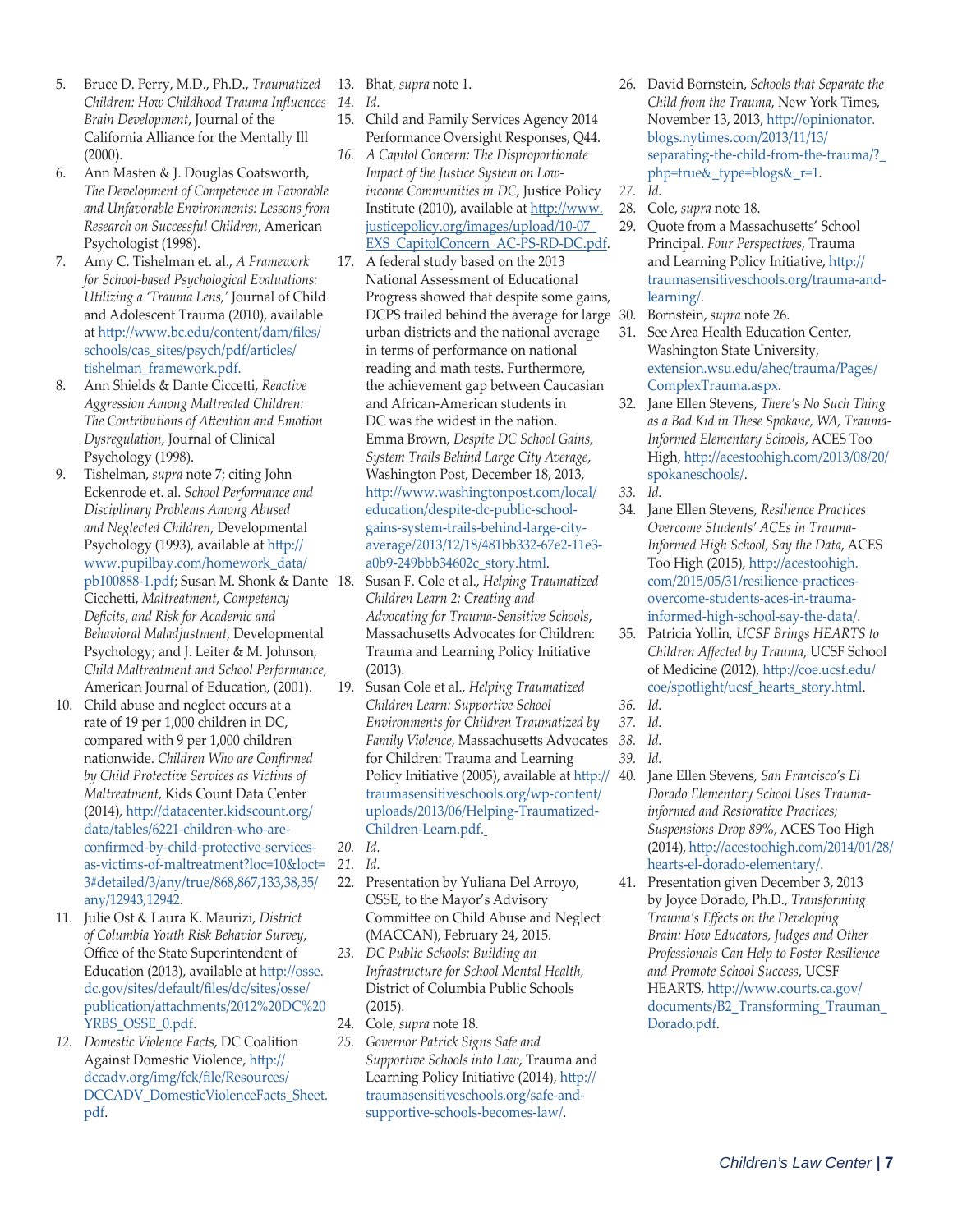- 5. Bruce D. Perry, M.D., Ph.D., *Traumatized Children: How Childhood Trauma Infl uences 14. Id. Brain Development*, Journal of the California Alliance for the Mentally Ill (2000).
- 6. Ann Masten & J. Douglas Coatsworth, *The Development of Competence in Favorable and Unfavorable Environments: Lessons from Research on Successful Children*, American Psychologist (1998).
- 7. Amy C. Tishelman et. al., *A Framework for School-based Psychological Evaluations: Utilizing a 'Trauma Lens,'* Journal of Child and Adolescent Trauma (2010), available at http://www.bc.edu/content/dam/files/ schools/cas\_sites/psych/pdf/articles/ tishelman\_framework.pdf.
- 8. Ann Shields & Dante Ciccetti, Reactive *Aggression Among Maltreated Children: The Contributions of Att ention and Emotion Dysregulation*, Journal of Clinical Psychology (1998).
- 9. Tishelman, *supra* note 7; citing John Eckenrode et. al. *School Performance and Disciplinary Problems Among Abused and Neglected Children*, Developmental Psychology (1993), available at http:// www.pupilbay.com/homework\_data/ pb100888-1.pdf; Susan M. Shonk & Dante Cicchett i, *Maltreatment, Competency Defi cits, and Risk for Academic and Behavioral Maladjustment*, Developmental Psychology; and J. Leiter & M. Johnson, *Child Maltreatment and School Performance*, American Journal of Education, (2001).
- 10. Child abuse and neglect occurs at a rate of 19 per 1,000 children in DC, compared with 9 per 1,000 children nationwide. *Children Who are Confi rmed by Child Protective Services as Victims of Maltreatment*, Kids Count Data Center (2014), http://datacenter.kidscount.org/ data/tables/6221-children-who-areconfirmed-by-child-protective-servicesas-victims-of-maltreatment?loc=10&loct= 3#detailed/3/any/true/868,867,133,38,35/ any/12943,12942.
- 11. Julie Ost & Laura K. Maurizi, *District of Columbia Youth Risk Behavior Survey*, Office of the State Superintendent of Education (2013), available at http://osse. dc.gov/sites/default/fi les/dc/sites/osse/ publication/attachments/2012%20DC%20 YRBS\_OSSE\_0.pdf.
- *12. Domestic Violence Facts*, DC Coalition Against Domestic Violence, http:// dccadv.org/img/fck/file/Resources/ DCCADV\_DomesticViolenceFacts\_Sheet. pdf.
- 13. Bhat, *supra* note 1.
	-
- 15. Child and Family Services Agency 2014 Performance Oversight Responses, Q44.
- *16. A Capitol Concern: The Disproportionate Impact of the Justice System on Lowincome Communities in DC*, Justice Policy Institute (2010), available at http://www. justicepolicy.org/images/upload/10-07\_ EXS\_CapitolConcern\_AC-PS-RD-DC.pdf.
- 17. A federal study based on the 2013 National Assessment of Educational Progress showed that despite some gains, DCPS trailed behind the average for large 30. urban districts and the national average in terms of performance on national reading and math tests. Furthermore, the achievement gap between Caucasian and African-American students in DC was the widest in the nation. Emma Brown, *Despite DC School Gains, System Trails Behind Large City Average*, Washington Post, December 18, 2013, http://www.washingtonpost.com/local/ education/despite-dc-public-schoolgains-system-trails-behind-large-cityaverage/2013/12/18/481bb332-67e2-11e3 a0b9-249bbb34602c\_story.html.
- 18. Susan F. Cole et al., *Helping Traumatized Children Learn 2: Creating and Advocating for Trauma-Sensitive Schools*, Massachusetts Advocates for Children: Trauma and Learning Policy Initiative (2013).
- 19. Susan Cole et al., *Helping Traumatized Children Learn: Supportive School Environments for Children Traumatized by Family Violence,* Massachusetts Advocates 38. Id. for Children: Trauma and Learning Policy Initiative (2005), available at  $\frac{ht}{pt}$  // 40. traumasensitiveschools.org/wp-content/ uploads/2013/06/Helping-Traumatized-Children-Learn.pdf.
- *20. Id.*
- *21. Id.*
- 22. Presentation by Yuliana Del Arroyo, OSSE, to the Mayor's Advisory Committee on Child Abuse and Neglect (MACCAN), February 24, 2015.
- *23. DC Public Schools: Building an Infrastructure for School Mental Health*, District of Columbia Public Schools (2015).
- 24. Cole, *supra* note 18.
- *25. Governor Patrick Signs Safe and Supportive Schools into Law*, Trauma and Learning Policy Initiative (2014), http:// traumasensitiveschools.org/safe-andsupportive-schools-becomes-law/.
- 26. David Bornstein, *Schools that Separate the Child from the Trauma*, New York Times, November 13, 2013, http://opinionator. blogs.nytimes.com/2013/11/13/ separating-the-child-from-the-trauma/?\_ php=true&\_type=blogs&\_r=1.
- *27. Id.*
- 28. Cole, *supra* note 18.
- 29. Quote from a Massachusetts' School Principal. *Four Perspectives*, Trauma and Learning Policy Initiative, http:// traumasensitiveschools.org/trauma-andlearning/.
- 30. Bornstein, *supra* note 26.
- 31. See Area Health Education Center, Washington State University, extension.wsu.edu/ahec/trauma/Pages/ ComplexTrauma.aspx.
- 32. Jane Ellen Stevens, *There's No Such Thing as a Bad Kid in These Spokane, WA, Trauma-Informed Elementary Schools*, ACES Too High, http://acestoohigh.com/2013/08/20/ spokaneschools/.

- 34. Jane Ellen Stevens, *Resilience Practices Overcome Students' ACEs in Trauma-Informed High School, Say the Data*, ACES Too High (2015), http://acestoohigh. com/2015/05/31/resilience-practicesovercome-students-aces-in-traumainformed-high-school-say-the-data/.
- 35. Patricia Yollin, *UCSF Brings HEARTS to Children Aff ected by Trauma*, UCSF School of Medicine (2012), http://coe.ucsf.edu/ coe/spotlight/ucsf\_hearts\_story.html.
- *36. Id.*
- *37. Id.*
	-
- *39. Id.*
- 40. Jane Ellen Stevens, *San Francisco's El Dorado Elementary School Uses Traumainformed and Restorative Practices; Suspensions Drop 89%*, ACES Too High (2014), http://acestoohigh.com/2014/01/28/ hearts-el-dorado-elementary/.
- 41. Presentation given December 3, 2013 by Joyce Dorado, Ph.D., *Transforming Trauma's Eff ects on the Developing Brain: How Educators, Judges and Other Professionals Can Help to Foster Resilience and Promote School Success*, UCSF HEARTS, http://www.courts.ca.gov/ documents/B2\_Transforming\_Trauman\_ Dorado.pdf.

*<sup>33.</sup> Id.*